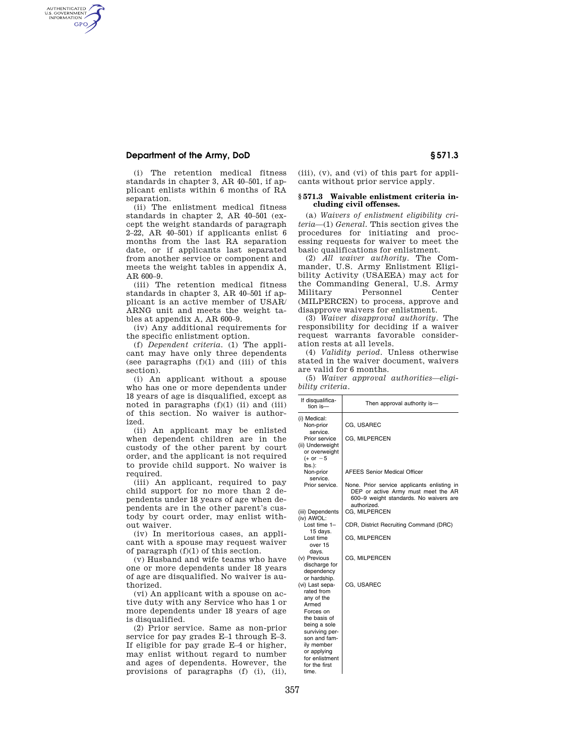# **Department of the Army, DoD § 571.3**

AUTHENTICATED<br>U.S. GOVERNMENT<br>INFORMATION **GPO** 

> (i) The retention medical fitness standards in chapter 3, AR 40–501, if applicant enlists within 6 months of RA separation.

> (ii) The enlistment medical fitness standards in chapter 2, AR 40–501 (except the weight standards of paragraph 2–22, AR 40–501) if applicants enlist 6 months from the last RA separation date, or if applicants last separated from another service or component and meets the weight tables in appendix A, AR 600–9.

> (iii) The retention medical fitness standards in chapter 3, AR 40–501 if applicant is an active member of USAR/ ARNG unit and meets the weight tables at appendix A, AR 600–9.

> (iv) Any additional requirements for the specific enlistment option.

> (f) *Dependent criteria.* (1) The applicant may have only three dependents (see paragraphs  $(f)(1)$  and  $(iii)$  of this section).

> (i) An applicant without a spouse who has one or more dependents under 18 years of age is disqualified, except as noted in paragraphs  $(f)(1)$  (ii) and (iii) of this section. No waiver is authorized.

> (ii) An applicant may be enlisted when dependent children are in the custody of the other parent by court order, and the applicant is not required to provide child support. No waiver is required.

> (iii) An applicant, required to pay child support for no more than 2 dependents under 18 years of age when dependents are in the other parent's custody by court order, may enlist without waiver.

> (iv) In meritorious cases, an applicant with a spouse may request waiver of paragraph (f)(1) of this section.

(v) Husband and wife teams who have one or more dependents under 18 years of age are disqualified. No waiver is authorized.

(vi) An applicant with a spouse on active duty with any Service who has 1 or more dependents under 18 years of age is disqualified.

(2) Prior service. Same as non-prior service for pay grades E–1 through E–3. If eligible for pay grade E–4 or higher, may enlist without regard to number and ages of dependents. However, the provisions of paragraphs (f) (i), (ii), (iii), (v), and (vi) of this part for applicants without prior service apply.

### **§ 571.3 Waivable enlistment criteria including civil offenses.**

(a) *Waivers of enlistment eligibility criteria*—(1) *General.* This section gives the procedures for initiating and processing requests for waiver to meet the basic qualifications for enlistment.

(2) *All waiver authority.* The Commander, U.S. Army Enlistment Eligibility Activity (USAEEA) may act for the Commanding General, U.S. Army Military Personnel Center (MILPERCEN) to process, approve and disapprove waivers for enlistment.

(3) *Waiver disapproval authority.* The responsibility for deciding if a waiver request warrants favorable consideration rests at all levels.

(4) *Validity period.* Unless otherwise stated in the waiver document, waivers are valid for 6 months.

(5) *Waiver approval authorities—eligibility criteria.* 

| If disqualifica-<br>tion is-                                         | Then approval authority is-                                                                                                                 |  |  |
|----------------------------------------------------------------------|---------------------------------------------------------------------------------------------------------------------------------------------|--|--|
| (i) Medical:<br>Non-prior<br>service.                                | CG, USAREC                                                                                                                                  |  |  |
| Prior service                                                        | CG, MILPERCEN                                                                                                                               |  |  |
| (ii) Underweight<br>or overweight                                    |                                                                                                                                             |  |  |
| $(+ or -5)$<br>lbs.):                                                |                                                                                                                                             |  |  |
| Non-prior<br>service.                                                | <b>AFEES Senior Medical Officer</b>                                                                                                         |  |  |
| Prior service.                                                       | None. Prior service applicants enlisting in<br>DEP or active Army must meet the AR<br>600-9 weight standards. No waivers are<br>authorized. |  |  |
| (iii) Dependents<br>(iv) AWOL:                                       | CG, MILPERCEN                                                                                                                               |  |  |
| Lost time $1-$<br>15 davs.                                           | CDR, District Recruiting Command (DRC)                                                                                                      |  |  |
| Lost time<br>over 15<br>days.                                        | CG, MILPERCEN                                                                                                                               |  |  |
| (v) Previous<br>discharge for<br>dependency                          | CG, MILPERCEN                                                                                                                               |  |  |
| or hardship.<br>(vi) Last sepa-<br>rated from<br>any of the<br>Armed | CG, USAREC                                                                                                                                  |  |  |
| Forces on<br>the basis of<br>being a sole                            |                                                                                                                                             |  |  |
| surviving per-<br>son and fam-                                       |                                                                                                                                             |  |  |
| ily member<br>or applying                                            |                                                                                                                                             |  |  |
| for enlistment<br>for the first<br>time.                             |                                                                                                                                             |  |  |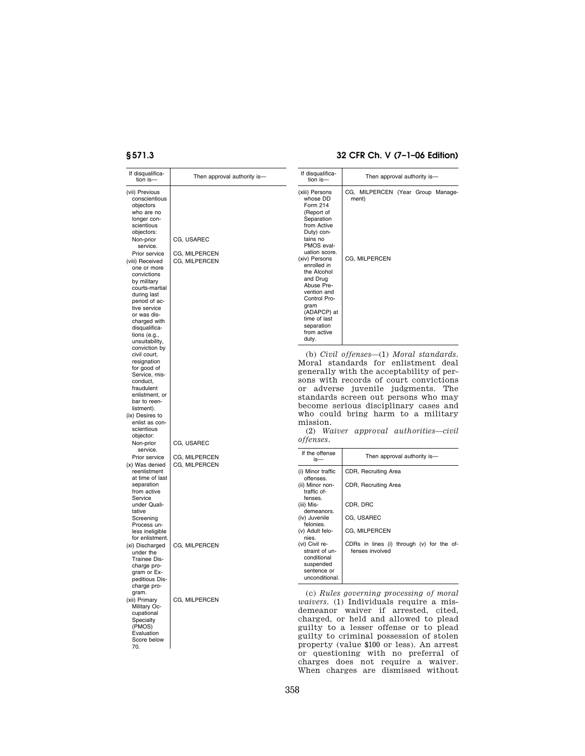# **§ 571.3 32 CFR Ch. V (7–1–06 Edition)**

| If disqualifica-<br>tion is-                                                                                                                                                                                                                         | Then approval authority is-    | If disqualifica-<br>tion is-                                                                                                                                                                       | Then approval authority is-                                                                                                                                                                                                                                                                                                                                                |
|------------------------------------------------------------------------------------------------------------------------------------------------------------------------------------------------------------------------------------------------------|--------------------------------|----------------------------------------------------------------------------------------------------------------------------------------------------------------------------------------------------|----------------------------------------------------------------------------------------------------------------------------------------------------------------------------------------------------------------------------------------------------------------------------------------------------------------------------------------------------------------------------|
| (vii) Previous<br>conscientious<br>objectors<br>who are no<br>longer con-<br>scientious<br>objectors:<br>Non-prior<br>service.                                                                                                                       | CG, USAREC                     | (xiii) Persons<br>whose DD<br>Form 214<br>(Report of<br>Separation<br>from Active<br>Duty) con-<br>tains no<br>PMOS eval-                                                                          | CG, MILPERCEN (Year Group Manage-<br>ment)                                                                                                                                                                                                                                                                                                                                 |
| Prior service<br>(viii) Received<br>one or more<br>convictions<br>by military<br>courts-martial<br>during last<br>period of ac-<br>tive service<br>or was dis-<br>charged with<br>disqualifica-<br>tions $(e.g.,$<br>unsuitability,<br>conviction by | CG, MILPERCEN<br>CG, MILPERCEN | uation score.<br>(xiv) Persons<br>enrolled in<br>the Alcohol<br>and Drug<br>Abuse Pre-<br>vention and<br>Control Pro-<br>gram<br>(ADAPCP) at<br>time of last<br>separation<br>from active<br>duty. | CG, MILPERCEN                                                                                                                                                                                                                                                                                                                                                              |
| civil court,<br>resignation<br>for good of<br>Service, mis-<br>conduct,<br>fraudulent<br>enlistment, or<br>bar to reen-<br>listment).<br>(ix) Desires to<br>enlist as con-<br>scientious<br>objector:<br>Non-prior                                   | CG, USAREC                     | or<br>mission.<br><i>offenses.</i>                                                                                                                                                                 | (b) Civil offenses—(1) Moral standards.<br>Moral standards for enlistment deal<br>generally with the acceptability of per-<br>sons with records of court convictions<br>adverse juvenile judgments.<br>The<br>standards screen out persons who may<br>become serious disciplinary cases and<br>who could bring harm to a military<br>(2) Waiver approval authorities—civil |
| service.<br>Prior service                                                                                                                                                                                                                            | CG, MILPERCEN                  | If the offense<br>is-                                                                                                                                                                              | Then approval authority is-                                                                                                                                                                                                                                                                                                                                                |
| (x) Was denied<br>reenlistment<br>at time of last<br>separation<br>from active<br>Service<br>under Quali-<br>tative<br>Screening<br>Process un-<br>less ineligible<br>for enlistment.                                                                | CG, MILPERCEN                  | (i) Minor traffic<br>offenses.<br>(ii) Minor non-<br>traffic of-<br>fenses.<br>(iii) Mis-<br>demeanors.<br>(iv) Juvenile<br>felonies.<br>(v) Adult felo-<br>nies.                                  | CDR, Recruiting Area<br>CDR, Recruiting Area<br>CDR, DRC<br>CG, USAREC<br>CG, MILPERCEN                                                                                                                                                                                                                                                                                    |
| (xi) Discharged<br>under the<br>Trainee Dis-<br>charge pro-<br>gram or Ex-<br>peditious Dis-<br>charge pro-                                                                                                                                          | CG, MILPERCEN                  | (vi) Civil re-<br>straint of un-<br>conditional<br>suspended<br>sentence or<br>unconditional.                                                                                                      | CDRs in lines (i) through (v) for the of-<br>fenses involved                                                                                                                                                                                                                                                                                                               |
| gram.<br>(xii) Primary<br>Military Oc-<br>cupational<br>Specialty<br>(PMOS)<br>Evaluation<br>Score below<br>70.                                                                                                                                      | CG, MILPERCEN                  |                                                                                                                                                                                                    | (c) Rules governing processing of moral<br><i>waivers.</i> (1) Individuals require a mis-<br>demeanor waiver if arrested,<br>cited.<br>charged, or held and allowed to plead<br>guilty to a lesser offense or to plead<br>guilty to criminal possession of stolen<br>property (value \$100 or less). An arrest                                                             |

or questioning with no preferral of charges does not require a waiver. When charges are dismissed without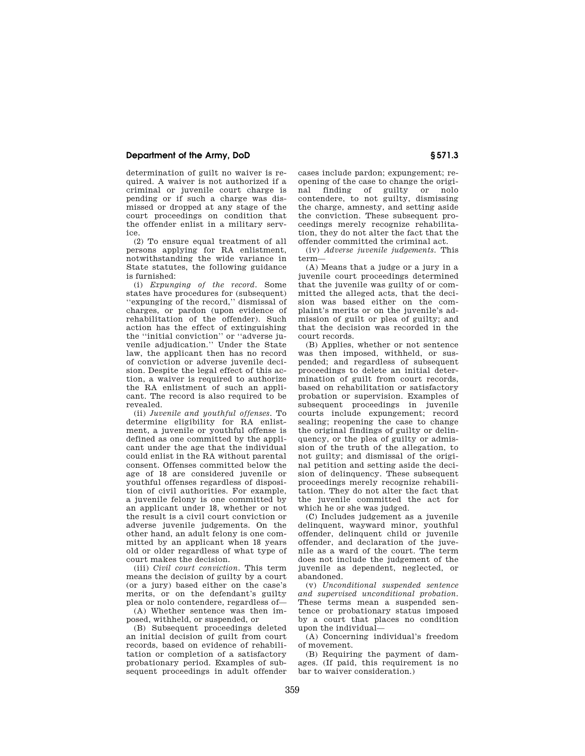# **Department of the Army, DoD § 571.3**

determination of guilt no waiver is required. A waiver is not authorized if a criminal or juvenile court charge is pending or if such a charge was dismissed or dropped at any stage of the court proceedings on condition that the offender enlist in a military service.

(2) To ensure equal treatment of all persons applying for RA enlistment, notwithstanding the wide variance in State statutes, the following guidance is furnished:

(i) *Expunging of the record.* Some states have procedures for (subsequent) ''expunging of the record,'' dismissal of charges, or pardon (upon evidence of rehabilitation of the offender). Such action has the effect of extinguishing the ''initial conviction'' or ''adverse juvenile adjudication.'' Under the State law, the applicant then has no record of conviction or adverse juvenile decision. Despite the legal effect of this action, a waiver is required to authorize the RA enlistment of such an applicant. The record is also required to be revealed.

(ii) *Juvenile and youthful offenses.* To determine eligibility for RA enlistment, a juvenile or youthful offense is defined as one committed by the applicant under the age that the individual could enlist in the RA without parental consent. Offenses committed below the age of 18 are considered juvenile or youthful offenses regardless of disposition of civil authorities. For example, a juvenile felony is one committed by an applicant under 18, whether or not the result is a civil court conviction or adverse juvenile judgements. On the other hand, an adult felony is one committed by an applicant when 18 years old or older regardless of what type of court makes the decision.

(iii) *Civil court conviction.* This term means the decision of guilty by a court (or a jury) based either on the case's merits, or on the defendant's guilty plea or nolo contendere, regardless of—

(A) Whether sentence was then imposed, withheld, or suspended, or

(B) Subsequent proceedings deleted an initial decision of guilt from court records, based on evidence of rehabilitation or completion of a satisfactory probationary period. Examples of subsequent proceedings in adult offender

cases include pardon; expungement; reopening of the case to change the original finding of guilty or nolo contendere, to not guilty, dismissing the charge, amnesty, and setting aside the conviction. These subsequent proceedings merely recognize rehabilitation, they do not alter the fact that the offender committed the criminal act.

(iv) *Adverse juvenile judgements.* This term—

(A) Means that a judge or a jury in a juvenile court proceedings determined that the juvenile was guilty of or committed the alleged acts, that the decision was based either on the complaint's merits or on the juvenile's admission of guilt or plea of guilty; and that the decision was recorded in the court records.

(B) Applies, whether or not sentence was then imposed, withheld, or suspended; and regardless of subsequent proceedings to delete an initial determination of guilt from court records. based on rehabilitation or satisfactory probation or supervision. Examples of subsequent proceedings in juvenile courts include expungement; record sealing; reopening the case to change the original findings of guilty or delinquency, or the plea of guilty or admission of the truth of the allegation, to not guilty; and dismissal of the original petition and setting aside the decision of delinquency. These subsequent proceedings merely recognize rehabilitation. They do not alter the fact that the juvenile committed the act for which he or she was judged.

(C) Includes judgement as a juvenile delinquent, wayward minor, youthful offender, delinquent child or juvenile offender, and declaration of the juvenile as a ward of the court. The term does not include the judgement of the juvenile as dependent, neglected, or abandoned.

(v) *Unconditional suspended sentence and supervised unconditional probation.*  These terms mean a suspended sentence or probationary status imposed by a court that places no condition upon the individual—

(A) Concerning individual's freedom of movement.

(B) Requiring the payment of damages. (If paid, this requirement is no bar to waiver consideration.)